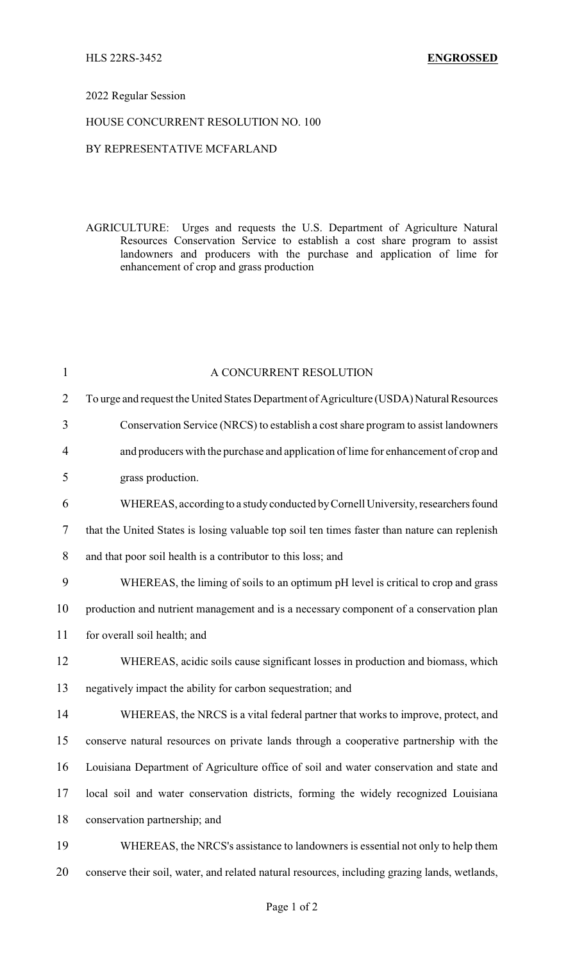### 2022 Regular Session

### HOUSE CONCURRENT RESOLUTION NO. 100

## BY REPRESENTATIVE MCFARLAND

AGRICULTURE: Urges and requests the U.S. Department of Agriculture Natural Resources Conservation Service to establish a cost share program to assist landowners and producers with the purchase and application of lime for enhancement of crop and grass production

| $\mathbf{1}$   | A CONCURRENT RESOLUTION                                                                       |
|----------------|-----------------------------------------------------------------------------------------------|
| $\overline{2}$ | To urge and request the United States Department of Agriculture (USDA) Natural Resources      |
| 3              | Conservation Service (NRCS) to establish a cost share program to assist landowners            |
| $\overline{4}$ | and producers with the purchase and application of lime for enhancement of crop and           |
| 5              | grass production.                                                                             |
| 6              | WHEREAS, according to a study conducted by Cornell University, researchers found              |
| 7              | that the United States is losing valuable top soil ten times faster than nature can replenish |
| 8              | and that poor soil health is a contributor to this loss; and                                  |
| 9              | WHEREAS, the liming of soils to an optimum pH level is critical to crop and grass             |
| 10             | production and nutrient management and is a necessary component of a conservation plan        |
| 11             | for overall soil health; and                                                                  |
| 12             | WHEREAS, acidic soils cause significant losses in production and biomass, which               |
| 13             | negatively impact the ability for carbon sequestration; and                                   |
| 14             | WHEREAS, the NRCS is a vital federal partner that works to improve, protect, and              |
| 15             | conserve natural resources on private lands through a cooperative partnership with the        |
| 16             | Louisiana Department of Agriculture office of soil and water conservation and state and       |
| 17             | local soil and water conservation districts, forming the widely recognized Louisiana          |
| 18             | conservation partnership; and                                                                 |
| 19             | WHEREAS, the NRCS's assistance to landowners is essential not only to help them               |
| 20             | conserve their soil, water, and related natural resources, including grazing lands, wetlands, |